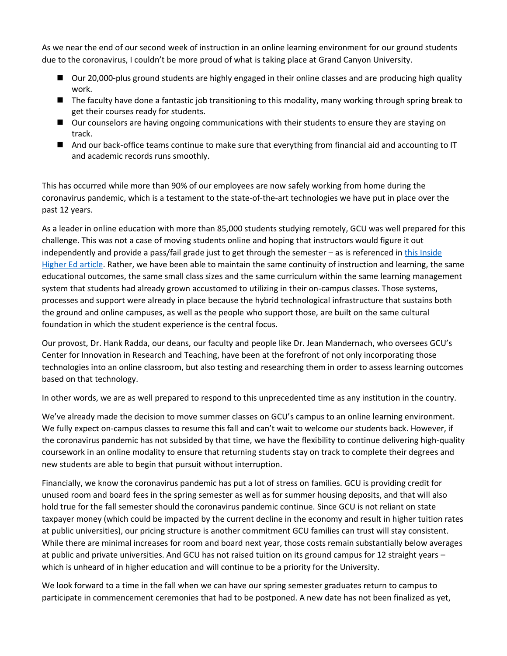As we near the end of our second week of instruction in an online learning environment for our ground students due to the coronavirus, I couldn't be more proud of what is taking place at Grand Canyon University.

- Our 20,000-plus ground students are highly engaged in their online classes and are producing high quality work.
- The faculty have done a fantastic job transitioning to this modality, many working through spring break to get their courses ready for students.
- Our counselors are having ongoing communications with their students to ensure they are staying on track.
- And our back-office teams continue to make sure that everything from financial aid and accounting to IT and academic records runs smoothly.

This has occurred while more than 90% of our employees are now safely working from home during the coronavirus pandemic, which is a testament to the state-of-the-art technologies we have put in place over the past 12 years.

As a leader in online education with more than 85,000 students studying remotely, GCU was well prepared for this challenge. This was not a case of moving students online and hoping that instructors would figure it out independently and provide a pass/fail grade just to get through the semester – as is referenced i[n this Inside](https://www.insidehighered.com/digital-learning/article/2020/04/01/preparing-quietly-fall-semester-without-person-instruction)  [Higher Ed article.](https://www.insidehighered.com/digital-learning/article/2020/04/01/preparing-quietly-fall-semester-without-person-instruction) Rather, we have been able to maintain the same continuity of instruction and learning, the same educational outcomes, the same small class sizes and the same curriculum within the same learning management system that students had already grown accustomed to utilizing in their on-campus classes. Those systems, processes and support were already in place because the hybrid technological infrastructure that sustains both the ground and online campuses, as well as the people who support those, are built on the same cultural foundation in which the student experience is the central focus.

Our provost, Dr. Hank Radda, our deans, our faculty and people like Dr. Jean Mandernach, who oversees GCU's Center for Innovation in Research and Teaching, have been at the forefront of not only incorporating those technologies into an online classroom, but also testing and researching them in order to assess learning outcomes based on that technology.

In other words, we are as well prepared to respond to this unprecedented time as any institution in the country.

We've already made the decision to move summer classes on GCU's campus to an online learning environment. We fully expect on-campus classes to resume this fall and can't wait to welcome our students back. However, if the coronavirus pandemic has not subsided by that time, we have the flexibility to continue delivering high-quality coursework in an online modality to ensure that returning students stay on track to complete their degrees and new students are able to begin that pursuit without interruption.

Financially, we know the coronavirus pandemic has put a lot of stress on families. GCU is providing credit for unused room and board fees in the spring semester as well as for summer housing deposits, and that will also hold true for the fall semester should the coronavirus pandemic continue. Since GCU is not reliant on state taxpayer money (which could be impacted by the current decline in the economy and result in higher tuition rates at public universities), our pricing structure is another commitment GCU families can trust will stay consistent. While there are minimal increases for room and board next year, those costs remain substantially below averages at public and private universities. And GCU has not raised tuition on its ground campus for 12 straight years – which is unheard of in higher education and will continue to be a priority for the University.

We look forward to a time in the fall when we can have our spring semester graduates return to campus to participate in commencement ceremonies that had to be postponed. A new date has not been finalized as yet,